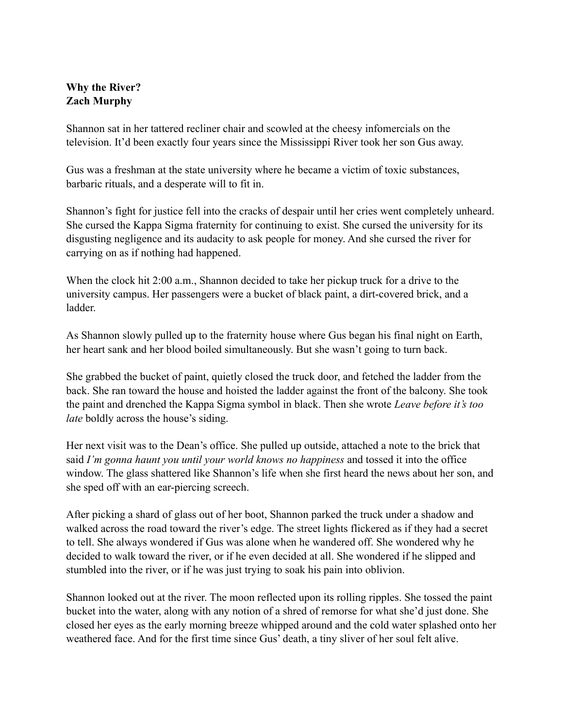## **Why the River? Zach Murphy**

Shannon sat in her tattered recliner chair and scowled at the cheesy infomercials on the television. It'd been exactly four years since the Mississippi River took her son Gus away.

Gus was a freshman at the state university where he became a victim of toxic substances, barbaric rituals, and a desperate will to fit in.

Shannon's fight for justice fell into the cracks of despair until her cries went completely unheard. She cursed the Kappa Sigma fraternity for continuing to exist. She cursed the university for its disgusting negligence and its audacity to ask people for money. And she cursed the river for carrying on as if nothing had happened.

When the clock hit 2:00 a.m., Shannon decided to take her pickup truck for a drive to the university campus. Her passengers were a bucket of black paint, a dirt-covered brick, and a ladder.

As Shannon slowly pulled up to the fraternity house where Gus began his final night on Earth, her heart sank and her blood boiled simultaneously. But she wasn't going to turn back.

She grabbed the bucket of paint, quietly closed the truck door, and fetched the ladder from the back. She ran toward the house and hoisted the ladder against the front of the balcony. She took the paint and drenched the Kappa Sigma symbol in black. Then she wrote *Leave before it's too late* boldly across the house's siding.

Her next visit was to the Dean's office. She pulled up outside, attached a note to the brick that said *I'm gonna haunt you until your world knows no happiness* and tossed it into the office window. The glass shattered like Shannon's life when she first heard the news about her son, and she sped off with an ear-piercing screech.

After picking a shard of glass out of her boot, Shannon parked the truck under a shadow and walked across the road toward the river's edge. The street lights flickered as if they had a secret to tell. She always wondered if Gus was alone when he wandered off. She wondered why he decided to walk toward the river, or if he even decided at all. She wondered if he slipped and stumbled into the river, or if he was just trying to soak his pain into oblivion.

Shannon looked out at the river. The moon reflected upon its rolling ripples. She tossed the paint bucket into the water, along with any notion of a shred of remorse for what she'd just done. She closed her eyes as the early morning breeze whipped around and the cold water splashed onto her weathered face. And for the first time since Gus' death, a tiny sliver of her soul felt alive.